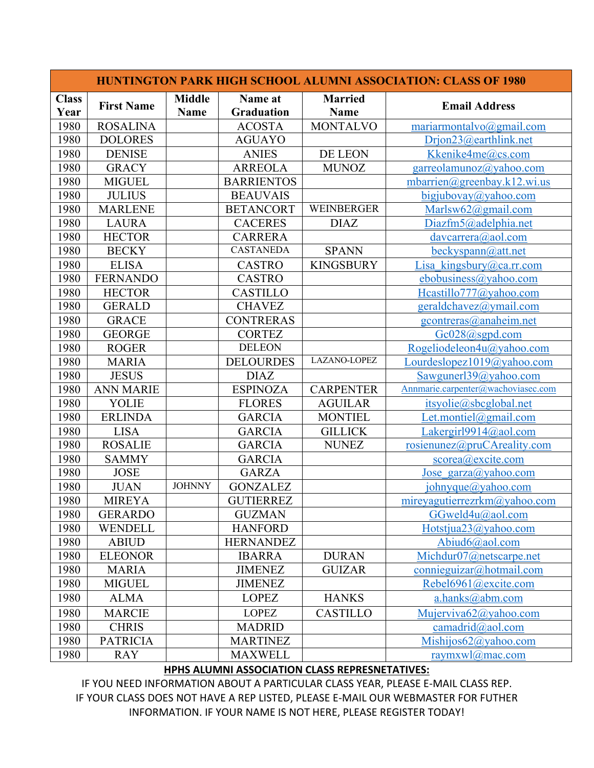| <b>HUNTINGTON PARK HIGH SCHOOL ALUMNI ASSOCIATION: CLASS OF 1980</b> |                   |                              |                              |                               |                                    |  |  |
|----------------------------------------------------------------------|-------------------|------------------------------|------------------------------|-------------------------------|------------------------------------|--|--|
| <b>Class</b><br>Year                                                 | <b>First Name</b> | <b>Middle</b><br><b>Name</b> | Name at<br><b>Graduation</b> | <b>Married</b><br><b>Name</b> | <b>Email Address</b>               |  |  |
| 1980                                                                 | <b>ROSALINA</b>   |                              | <b>ACOSTA</b>                | <b>MONTALVO</b>               | mariarmontalvo@gmail.com           |  |  |
| 1980                                                                 | <b>DOLORES</b>    |                              | <b>AGUAYO</b>                |                               | Drjon23@earthlink.net              |  |  |
| 1980                                                                 | <b>DENISE</b>     |                              | <b>ANIES</b>                 | DE LEON                       | Kkenike4me@cs.com                  |  |  |
| 1980                                                                 | <b>GRACY</b>      |                              | <b>ARREOLA</b>               | <b>MUNOZ</b>                  | garreolamunoz@yahoo.com            |  |  |
| 1980                                                                 | <b>MIGUEL</b>     |                              | <b>BARRIENTOS</b>            |                               | mbarrien@greenbay.k12.wi.us        |  |  |
| 1980                                                                 | <b>JULIUS</b>     |                              | <b>BEAUVAIS</b>              |                               | bigjubovay@yahoo.com               |  |  |
| 1980                                                                 | <b>MARLENE</b>    |                              | <b>BETANCORT</b>             | <b>WEINBERGER</b>             | Marlsw $62$ @gmail.com             |  |  |
| 1980                                                                 | <b>LAURA</b>      |                              | <b>CACERES</b>               | <b>DIAZ</b>                   | Diazfm5@adelphia.net               |  |  |
| 1980                                                                 | <b>HECTOR</b>     |                              | <b>CARRERA</b>               |                               | davcarrera@aol.com                 |  |  |
| 1980                                                                 | <b>BECKY</b>      |                              | <b>CASTANEDA</b>             | <b>SPANN</b>                  | beckyspann@att.net                 |  |  |
| 1980                                                                 | <b>ELISA</b>      |                              | <b>CASTRO</b>                | <b>KINGSBURY</b>              | Lisa_kingsbury@ca.rr.com           |  |  |
| 1980                                                                 | <b>FERNANDO</b>   |                              | <b>CASTRO</b>                |                               | ebobusiness@yahoo.com              |  |  |
| 1980                                                                 | <b>HECTOR</b>     |                              | <b>CASTILLO</b>              |                               | Hcastillo777@yahoo.com             |  |  |
| 1980                                                                 | <b>GERALD</b>     |                              | <b>CHAVEZ</b>                |                               | geraldchavez@ymail.com             |  |  |
| 1980                                                                 | <b>GRACE</b>      |                              | <b>CONTRERAS</b>             |                               | gcontreras@anaheim.net             |  |  |
| 1980                                                                 | <b>GEORGE</b>     |                              | <b>CORTEZ</b>                |                               | Gc028@sgpd.com                     |  |  |
| 1980                                                                 | <b>ROGER</b>      |                              | <b>DELEON</b>                |                               | Rogeliodeleon4u@yahoo.com          |  |  |
| 1980                                                                 | <b>MARIA</b>      |                              | <b>DELOURDES</b>             | LAZANO-LOPEZ                  | Lourdeslopez $1019$ @yahoo.com     |  |  |
| 1980                                                                 | <b>JESUS</b>      |                              | <b>DIAZ</b>                  |                               | Sawgunerl39@yahoo.com              |  |  |
| 1980                                                                 | <b>ANN MARIE</b>  |                              | <b>ESPINOZA</b>              | <b>CARPENTER</b>              | Annmarie.carpenter@wachoviasec.com |  |  |
| 1980                                                                 | YOLIE             |                              | <b>FLORES</b>                | <b>AGUILAR</b>                | itsyolie@sbcglobal.net             |  |  |
| 1980                                                                 | <b>ERLINDA</b>    |                              | <b>GARCIA</b>                | <b>MONTIEL</b>                | Let.montiel@gmail.com              |  |  |
| 1980                                                                 | <b>LISA</b>       |                              | <b>GARCIA</b>                | <b>GILLICK</b>                | Lakergirl $9914$ @aol.com          |  |  |
| 1980                                                                 | <b>ROSALIE</b>    |                              | <b>GARCIA</b>                | <b>NUNEZ</b>                  | rosienunez@pruCAreality.com        |  |  |
| 1980                                                                 | <b>SAMMY</b>      |                              | <b>GARCIA</b>                |                               | scorea@excite.com                  |  |  |
| 1980                                                                 | <b>JOSE</b>       |                              | <b>GARZA</b>                 |                               | Jose garza@yahoo.com               |  |  |
| 1980                                                                 | <b>JUAN</b>       | <b>JOHNNY</b>                | <b>GONZALEZ</b>              |                               | johnyque@yahoo.com                 |  |  |
| 1980                                                                 | <b>MIREYA</b>     |                              | <b>GUTIERREZ</b>             |                               | mireyagutierrezr $km@$ yahoo.com   |  |  |
| 1980                                                                 | <b>GERARDO</b>    |                              | <b>GUZMAN</b>                |                               | GGweld4u@aol.com                   |  |  |
| 1980                                                                 | WENDELL           |                              | <b>HANFORD</b>               |                               | Hotstjua23@yahoo.com               |  |  |
| 1980                                                                 | <b>ABIUD</b>      |                              | <b>HERNANDEZ</b>             |                               | Abiud $6$ @aol.com                 |  |  |
| 1980                                                                 | <b>ELEONOR</b>    |                              | <b>IBARRA</b>                | <b>DURAN</b>                  | Michdur07@netscarpe.net            |  |  |
| 1980                                                                 | <b>MARIA</b>      |                              | <b>JIMENEZ</b>               | <b>GUIZAR</b>                 | connieguizar@hotmail.com           |  |  |
| 1980                                                                 | <b>MIGUEL</b>     |                              | <b>JIMENEZ</b>               |                               | Rebel6961@excite.com               |  |  |
| 1980                                                                 | <b>ALMA</b>       |                              | <b>LOPEZ</b>                 | <b>HANKS</b>                  | a.hanks@abm.com                    |  |  |
| 1980                                                                 | <b>MARCIE</b>     |                              | <b>LOPEZ</b>                 | <b>CASTILLO</b>               | Mujerviva62@yahoo.com              |  |  |
| 1980                                                                 | <b>CHRIS</b>      |                              | <b>MADRID</b>                |                               | camadrid@aol.com                   |  |  |
| 1980                                                                 | <b>PATRICIA</b>   |                              | <b>MARTINEZ</b>              |                               | Mishijos $62@$ yahoo.com           |  |  |
| 1980                                                                 | <b>RAY</b>        |                              | <b>MAXWELL</b>               |                               | raymxwl $@$ mac.com                |  |  |

## **HPHS ALUMNI ASSOCIATION CLASS REPRESNETATIVES:**

IF YOU NEED INFORMATION ABOUT A PARTICULAR CLASS YEAR, PLEASE E-MAIL CLASS REP. IF YOUR CLASS DOES NOT HAVE A REP LISTED, PLEASE E-MAIL OUR WEBMASTER FOR FUTHER INFORMATION. IF YOUR NAME IS NOT HERE, PLEASE REGISTER TODAY!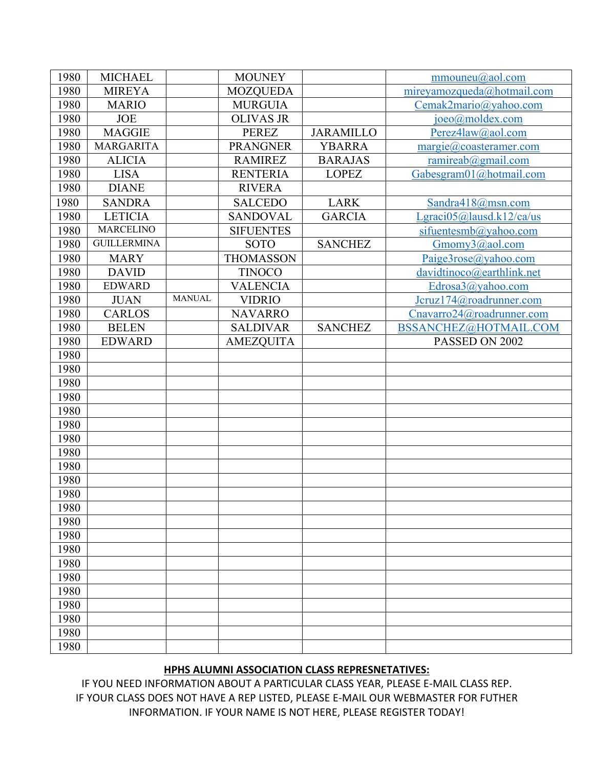| 1980 | <b>MICHAEL</b>     |               | <b>MOUNEY</b>    |                  | mmouneu@aol.com                           |
|------|--------------------|---------------|------------------|------------------|-------------------------------------------|
| 1980 | <b>MIREYA</b>      |               | <b>MOZQUEDA</b>  |                  | mireyamozqueda@hotmail.com                |
| 1980 | <b>MARIO</b>       |               | <b>MURGUIA</b>   |                  | Cemak2mario@yahoo.com                     |
| 1980 | <b>JOE</b>         |               | <b>OLIVAS JR</b> |                  | joeo@moldex.com                           |
| 1980 | <b>MAGGIE</b>      |               | <b>PEREZ</b>     | <b>JARAMILLO</b> | Perez4law@aol.com                         |
| 1980 | <b>MARGARITA</b>   |               | <b>PRANGNER</b>  | <b>YBARRA</b>    | $\text{margie}(a) \text{coasteramer.com}$ |
| 1980 | <b>ALICIA</b>      |               | <b>RAMIREZ</b>   | <b>BARAJAS</b>   | ramireab $@g$ mail.com                    |
| 1980 | <b>LISA</b>        |               | <b>RENTERIA</b>  | <b>LOPEZ</b>     | Gabesgram01@hotmail.com                   |
| 1980 | <b>DIANE</b>       |               | <b>RIVERA</b>    |                  |                                           |
| 1980 | <b>SANDRA</b>      |               | <b>SALCEDO</b>   | <b>LARK</b>      | Sandra418@msn.com                         |
| 1980 | <b>LETICIA</b>     |               | <b>SANDOVAL</b>  | <b>GARCIA</b>    | Lgraci05@lausd.k12/ca/us                  |
| 1980 | <b>MARCELINO</b>   |               | <b>SIFUENTES</b> |                  | sifuentesmb@yahoo.com                     |
| 1980 | <b>GUILLERMINA</b> |               | <b>SOTO</b>      | <b>SANCHEZ</b>   | Gmomy3@aol.com                            |
| 1980 | <b>MARY</b>        |               | <b>THOMASSON</b> |                  | Paige3rose@yahoo.com                      |
| 1980 | <b>DAVID</b>       |               | <b>TINOCO</b>    |                  | davidtinoco@earthlink.net                 |
| 1980 | <b>EDWARD</b>      |               | <b>VALENCIA</b>  |                  | Edrosa3@yahoo.com                         |
| 1980 | <b>JUAN</b>        | <b>MANUAL</b> | <b>VIDRIO</b>    |                  | Jcruz174@roadrunner.com                   |
| 1980 | <b>CARLOS</b>      |               | <b>NAVARRO</b>   |                  | Cnavarro24@roadrunner.com                 |
| 1980 | <b>BELEN</b>       |               | <b>SALDIVAR</b>  | <b>SANCHEZ</b>   | BSSANCHEZ@HOTMAIL.COM                     |
| 1980 | <b>EDWARD</b>      |               | <b>AMEZQUITA</b> |                  | PASSED ON 2002                            |
| 1980 |                    |               |                  |                  |                                           |
| 1980 |                    |               |                  |                  |                                           |
| 1980 |                    |               |                  |                  |                                           |
| 1980 |                    |               |                  |                  |                                           |
| 1980 |                    |               |                  |                  |                                           |
| 1980 |                    |               |                  |                  |                                           |
| 1980 |                    |               |                  |                  |                                           |
| 1980 |                    |               |                  |                  |                                           |
| 1980 |                    |               |                  |                  |                                           |
| 1980 |                    |               |                  |                  |                                           |
| 1980 |                    |               |                  |                  |                                           |
| 1980 |                    |               |                  |                  |                                           |
| 1980 |                    |               |                  |                  |                                           |
| 1980 |                    |               |                  |                  |                                           |
| 1980 |                    |               |                  |                  |                                           |
| 1980 |                    |               |                  |                  |                                           |
| 1980 |                    |               |                  |                  |                                           |
| 1980 |                    |               |                  |                  |                                           |
| 1980 |                    |               |                  |                  |                                           |
| 1980 |                    |               |                  |                  |                                           |
| 1980 |                    |               |                  |                  |                                           |
| 1980 |                    |               |                  |                  |                                           |

## HPHS ALUMNI ASSOCIATION CLASS REPRESNETATIVES:

IF YOU NEED INFORMATION ABOUT A PARTICULAR CLASS YEAR, PLEASE E-MAIL CLASS REP. IF YOUR CLASS DOES NOT HAVE A REP LISTED, PLEASE E-MAIL OUR WEBMASTER FOR FUTHER INFORMATION. IF YOUR NAME IS NOT HERE, PLEASE REGISTER TODAY!